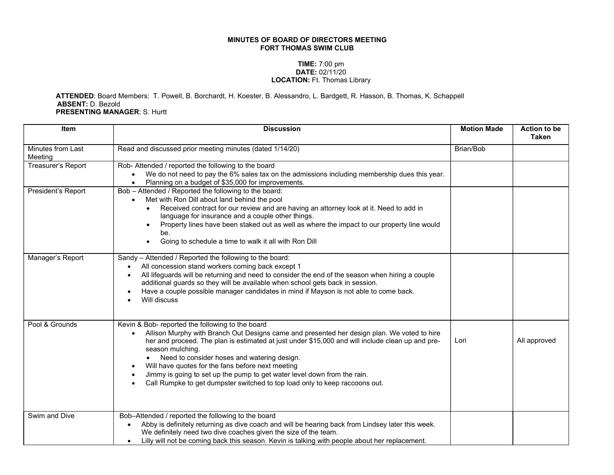## MINUTES OF BOARD OF DIRECTORS MEETING FORT THOMAS SWIM CLUB

## TIME: 7:00 pm DATE: 02/11/20 LOCATION: Ft. Thomas Library

## ATTENDED: Board Members: T. Powell, B. Borchardt, H. Koester, B. Alessandro, L. Bardgett, R. Hasson, B. Thomas, K. Schappell ABSENT: D. Bezold PRESENTING MANAGER: S. Hurtt

| <b>Item</b>                  | <b>Discussion</b>                                                                                                                                                                                                                                                                                                                                                                                                                                                                                                                                                | <b>Motion Made</b> | <b>Action to be</b><br><b>Taken</b> |
|------------------------------|------------------------------------------------------------------------------------------------------------------------------------------------------------------------------------------------------------------------------------------------------------------------------------------------------------------------------------------------------------------------------------------------------------------------------------------------------------------------------------------------------------------------------------------------------------------|--------------------|-------------------------------------|
| Minutes from Last<br>Meeting | Read and discussed prior meeting minutes (dated 1/14/20)                                                                                                                                                                                                                                                                                                                                                                                                                                                                                                         | Brian/Bob          |                                     |
| Treasurer's Report           | Rob- Attended / reported the following to the board<br>We do not need to pay the 6% sales tax on the admissions including membership dues this year.<br>Planning on a budget of \$35,000 for improvements.                                                                                                                                                                                                                                                                                                                                                       |                    |                                     |
| President's Report           | Bob - Attended / Reported the following to the board:<br>Met with Ron Dill about land behind the pool<br>Received contract for our review and are having an attorney look at it. Need to add in<br>language for insurance and a couple other things.<br>Property lines have been staked out as well as where the impact to our property line would<br>be.<br>Going to schedule a time to walk it all with Ron Dill<br>$\bullet$                                                                                                                                  |                    |                                     |
| Manager's Report             | Sandy - Attended / Reported the following to the board:<br>All concession stand workers coming back except 1<br>All lifeguards will be returning and need to consider the end of the season when hiring a couple<br>additional guards so they will be available when school gets back in session.<br>Have a couple possible manager candidates in mind if Mayson is not able to come back.<br>Will discuss                                                                                                                                                       |                    |                                     |
| Pool & Grounds               | Kevin & Bob- reported the following to the board<br>Allison Murphy with Branch Out Designs came and presented her design plan. We voted to hire<br>her and proceed. The plan is estimated at just under \$15,000 and will include clean up and pre-<br>season mulching.<br>Need to consider hoses and watering design.<br>Will have quotes for the fans before next meeting<br>$\bullet$<br>Jimmy is going to set up the pump to get water level down from the rain.<br>Call Rumpke to get dumpster switched to top load only to keep raccoons out.<br>$\bullet$ | Lori               | All approved                        |
| Swim and Dive                | Bob-Attended / reported the following to the board<br>Abby is definitely returning as dive coach and will be hearing back from Lindsey later this week.<br>We definitely need two dive coaches given the size of the team.<br>Lilly will not be coming back this season. Kevin is talking with people about her replacement.                                                                                                                                                                                                                                     |                    |                                     |